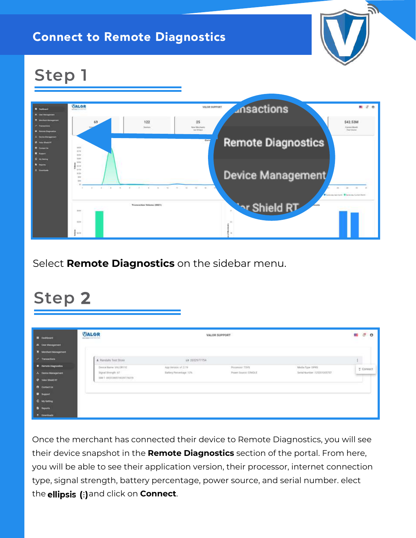## Connect to Remote Diagnostics



## **Step 1**



Select **Remote Diagnostics** on the sidebar menu.

## **Step 2**

| <b>B</b> Destroyed                                  | <b>VALOR</b><br>data against the world.           |                                              | VALOR SUPPORT                           |                                                   | $\sigma$<br>$\theta$<br><b>CH</b> |
|-----------------------------------------------------|---------------------------------------------------|----------------------------------------------|-----------------------------------------|---------------------------------------------------|-----------------------------------|
| 25 Unit Mempersen                                   |                                                   |                                              |                                         |                                                   |                                   |
| X Mediat Management                                 |                                                   |                                              |                                         |                                                   |                                   |
| at Transactions                                     | A Randalla Test Store                             | Lb 3032977754                                |                                         |                                                   | $\mathbf{I}$                      |
| <b>O</b> Hernote Diagnostics<br>A Desica Monagement | Devoe Name VALORS 14:<br>Signal Strength (CT $\,$ | App Writin x1.2.19<br>Sattery Percentage 13% | Processist TAYS<br>Power trauron CRADLE | Media Type ISPRS<br>Settal Number : 1210111305757 | F Connect                         |
| <b>O</b> Value Sheed att                            | MM 5 INCLOSES NORTZBUS                            |                                              |                                         |                                                   |                                   |
| <b>B</b> Contest Lis                                |                                                   |                                              |                                         |                                                   |                                   |
| <b>U</b> happed                                     |                                                   |                                              |                                         |                                                   |                                   |
| <b>C</b> writing                                    |                                                   |                                              |                                         |                                                   |                                   |
| <b>D</b> Inports                                    |                                                   |                                              |                                         |                                                   |                                   |
| * Download                                          |                                                   |                                              |                                         |                                                   |                                   |

Once the merchant has connected their device to Remote Diagnostics, you will see their device snapshot in the **Remote Diagnostics** section of the portal. From here, you will be able to see their application version, their processor, internet connection type, signal strength, battery percentage, power source, and serial number. elect the **ellipsis** (:) and click on **Connect**.